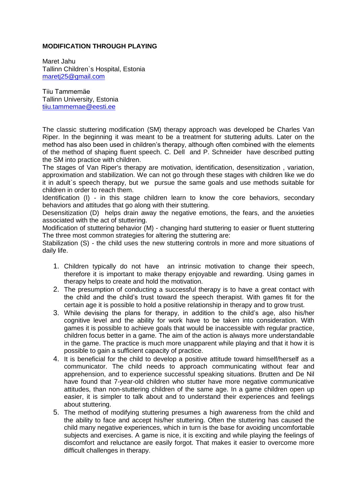## **MODIFICATION THROUGH PLAYING**

Maret Jahu Tallinn Children`s Hospital, Estonia [maretj25@gmail.com](mailto:maretj25@gmail.com)

Tiiu Tammemäe Tallinn University, Estonia [tiiu.tammemae@eesti.ee](mailto:tiiu.tammemae@eesti.ee)

The classic stuttering modification (SM) therapy approach was developed be Charles Van Riper. In the beginning it was meant to be a treatment for stuttering adults. Later on the method has also been used in children's therapy, although often combined with the elements of the method of shaping fluent speech. C. Dell and P. Schneider have described putting the SM into practice with children.

The stages of Van Riper's therapy are motivation, identification, desensitization , variation, approximation and stabilization. We can not go through these stages with children like we do it in adult`s speech therapy, but we pursue the same goals and use methods suitable for children in order to reach them.

Identification (I) - in this stage children learn to know the core behaviors, secondary behaviors and attitudes that go along with their stuttering.

Desensitization (D) helps drain away the negative emotions, the fears, and the anxieties associated with the act of stuttering.

Modification of stuttering behavior (M) - changing hard stuttering to easier or fluent stuttering The three most common strategies for altering the stuttering are:

Stabilization (S) - the child uses the new stuttering controls in more and more situations of daily life.

- 1. Children typically do not have an intrinsic motivation to change their speech, therefore it is important to make therapy enjoyable and rewarding. Using games in therapy helps to create and hold the motivation.
- 2. The presumption of conducting a successful therapy is to have a great contact with the child and the child's trust toward the speech therapist. With games fit for the certain age it is possible to hold a positive relationship in therapy and to grow trust.
- 3. While devising the plans for therapy, in addition to the child's age, also his/her cognitive level and the ability for work have to be taken into consideration. With games it is possible to achieve goals that would be inaccessible with regular practice, children focus better in a game. The aim of the action is always more understandable in the game. The practice is much more unapparent while playing and that it how it is possible to gain a sufficient capacity of practice.
- 4. It is beneficial for the child to develop a positive attitude toward himself/herself as a communicator. The child needs to approach communicating without fear and apprehension, and to experience successful speaking situations. Brutten and De Nil have found that 7-year-old children who stutter have more negative communicative attitudes, than non-stuttering children of the same age. In a game children open up easier, it is simpler to talk about and to understand their experiences and feelings about stuttering.
- 5. The method of modifying stuttering presumes a high awareness from the child and the ability to face and accept his/her stuttering. Often the stuttering has caused the child many negative experiences, which in turn is the base for avoiding uncomfortable subjects and exercises. A game is nice, it is exciting and while playing the feelings of discomfort and reluctance are easily forgot. That makes it easier to overcome more difficult challenges in therapy.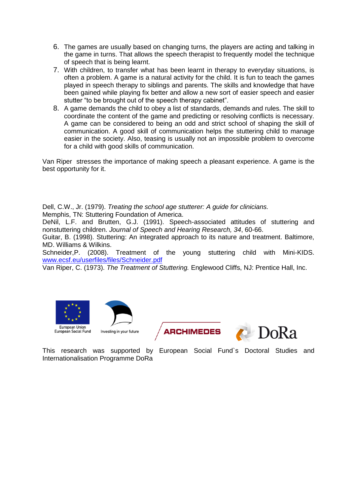- 6. The games are usually based on changing turns, the players are acting and talking in the game in turns. That allows the speech therapist to frequently model the technique of speech that is being learnt.
- 7. With children, to transfer what has been learnt in therapy to everyday situations, is often a problem. A game is a natural activity for the child. It is fun to teach the games played in speech therapy to siblings and parents. The skills and knowledge that have been gained while playing fix better and allow a new sort of easier speech and easier stutter "to be brought out of the speech therapy cabinet".
- 8. A game demands the child to obey a list of standards, demands and rules. The skill to coordinate the content of the game and predicting or resolving conflicts is necessary. A game can be considered to being an odd and strict school of shaping the skill of communication. A good skill of communication helps the stuttering child to manage easier in the society. Also, teasing is usually not an impossible problem to overcome for a child with good skills of communication.

Van Riper stresses the importance of making speech a pleasant experience. A game is the best opportunity for it.

Dell, C.W., Jr. (1979). *Treating the school age stutterer: A guide for clinicians.* Memphis, TN: Stuttering Foundation of America.

DeNil, L.F. and Brutten, G.J. (1991). Speech-associated attitudes of stuttering and nonstuttering children. *Journal of Speech and Hearing Research, 34*, 60-66.

Guitar, B. (1998). Stuttering: An integrated approach to its nature and treatment. Baltimore, MD. Williams & Wilkins.

Schneider,P. (2008). Treatment of the young stuttering child with Mini-KIDS. [www.ecsf.eu/userfiles/files/Schneider.pdf](http://www.ecsf.eu/userfiles/files/Schneider.pdf)

Van Riper, C. (1973). *The Treatment of Stuttering.* Englewood Cliffs, NJ: Prentice Hall, Inc.



**ARCHIMEDES** 



This research was supported by European Social Fund`s Doctoral Studies and Internationalisation Programme DoRa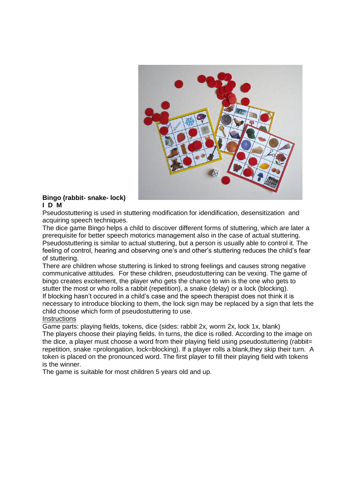

#### **Bingo (rabbit- snake- lock) I D M**

Pseudostuttering is used in stuttering modification for idendification, desensitization and acquiring speech techniques.

The dice game Bingo helps a child to discover different forms of stuttering, which are later a prerequisite for better speech motorics management also in the case of actual stuttering. Pseudostuttering is similar to actual stuttering, but a person is usually able to control it. The feeling of control, hearing and observing one's and other's stuttering reduces the child's fear of stuttering.

There are children whose stuttering is linked to strong feelings and causes strong negative communicative attitudes. For these children, pseudostuttering can be vexing. The game of bingo creates excitement, the player who gets the chance to win is the one who gets to stutter the most or who rolls a rabbit (repetition), a snake (delay) or a lock (blocking). If blocking hasn't occured in a child's case and the speech therapist does not think it is necessary to introduce blocking to them, the lock sign may be replaced by a sign that lets the child choose which form of pseudostuttering to use.

## **Instructions**

Game parts: playing fields, tokens, dice (sides: rabbit 2x, worm 2x, lock 1x, blank) The players choose their playing fields. In turns, the dice is rolled. According to the image on the dice, a player must choose a word from their playing field using pseudostuttering (rabbit= repetition, snake =prolongation, lock=blocking). If a player rolls a blank,they skip their turn. A token is placed on the pronounced word. The first player to fill their playing field with tokens is the winner.

The game is suitable for most children 5 years old and up.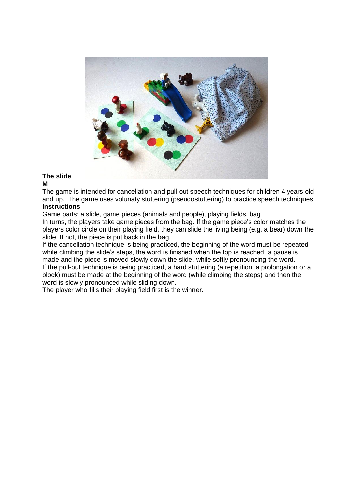

# **The slide**

# **M**

The game is intended for cancellation and pull-out speech techniques for children 4 years old and up. The game uses volunaty stuttering (pseudostuttering) to practice speech techniques **Instructions**

Game parts: a slide, game pieces (animals and people), playing fields, bag In turns, the players take game pieces from the bag. If the game piece's color matches the

players color circle on their playing field, they can slide the living being (e.g. a bear) down the slide. If not, the piece is put back in the bag.

If the cancellation technique is being practiced, the beginning of the word must be repeated while climbing the slide's steps, the word is finished when the top is reached, a pause is made and the piece is moved slowly down the slide, while softly pronouncing the word. If the pull-out technique is being practiced, a hard stuttering (a repetition, a prolongation or a block) must be made at the beginning of the word (while climbing the steps) and then the word is slowly pronounced while sliding down.

The player who fills their playing field first is the winner.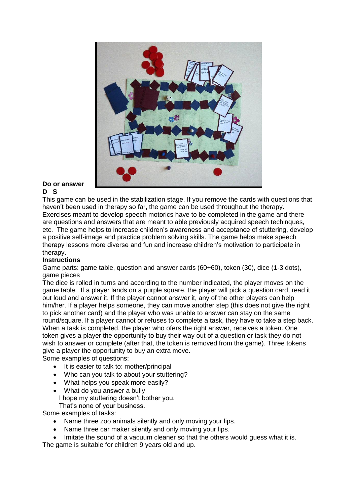

#### **Do or answer D S**

This game can be used in the stabilization stage. If you remove the cards with questions that haven't been used in therapy so far, the game can be used throughout the therapy. Exercises meant to develop speech motorics have to be completed in the game and there are questions and answers that are meant to able previously acquired speech techinques, etc. The game helps to increase children's awareness and acceptance of stuttering, develop a positive self-image and practice problem solving skills. The game helps make speech therapy lessons more diverse and fun and increase children's motivation to participate in therapy.

# **Instructions**

Game parts: game table, question and answer cards (60+60), token (30), dice (1-3 dots), game pieces

The dice is rolled in turns and according to the number indicated, the player moves on the game table. If a player lands on a purple square, the player will pick a question card, read it out loud and answer it. If the player cannot answer it, any of the other players can help him/her. If a player helps someone, they can move another step (this does not give the right to pick another card) and the player who was unable to answer can stay on the same round/square. If a player cannot or refuses to complete a task, they have to take a step back. When a task is completed, the player who ofers the right answer, receives a token. One token gives a player the opportunity to buy their way out of a question or task they do not wish to answer or complete (after that, the token is removed from the game). Three tokens give a player the opportunity to buy an extra move.

Some examples of questions:

- It is easier to talk to: mother/principal
- Who can you talk to about your stuttering?
- What helps you speak more easily?
- What do you answer a bully I hope my stuttering doesn't bother you. That's none of your business.

Some examples of tasks:

- Name three zoo animals silently and only moving your lips.
- Name three car maker silently and only moving your lips.
- Imitate the sound of a vacuum cleaner so that the others would guess what it is.

The game is suitable for children 9 years old and up.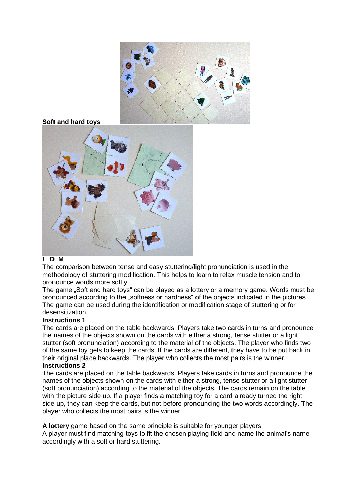

# **I D M**

The comparison between tense and easy stuttering/light pronunciation is used in the methodology of stuttering modification. This helps to learn to relax muscle tension and to pronounce words more softly.

The game . Soft and hard toys " can be played as a lottery or a memory game. Words must be pronounced according to the "softness or hardness" of the objects indicated in the pictures. The game can be used during the identification or modification stage of stuttering or for desensitization.

# **Instructions 1**

The cards are placed on the table backwards. Players take two cards in turns and pronounce the names of the objects shown on the cards with either a strong, tense stutter or a light stutter (soft pronunciation) according to the material of the objects. The player who finds two of the same toy gets to keep the cards. If the cards are different, they have to be put back in their original place backwards. The player who collects the most pairs is the winner. **Instructions 2**

The cards are placed on the table backwards. Players take cards in turns and pronounce the names of the objects shown on the cards with either a strong, tense stutter or a light stutter (soft pronunciation) according to the material of the objects. The cards remain on the table with the picture side up. If a player finds a matching toy for a card already turned the right side up, they can keep the cards, but not before pronouncing the two words accordingly. The player who collects the most pairs is the winner.

**A lottery** game based on the same principle is suitable for younger players.

A player must find matching toys to fit the chosen playing field and name the animal's name accordingly with a soft or hard stuttering.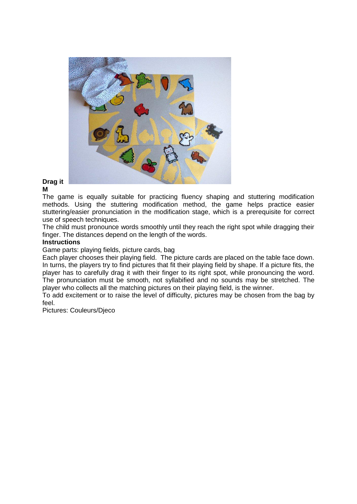

#### **Drag it M**

The game is equally suitable for practicing fluency shaping and stuttering modification methods. Using the stuttering modification method, the game helps practice easier stuttering/easier pronunciation in the modification stage, which is a prerequisite for correct use of speech techniques.

The child must pronounce words smoothly until they reach the right spot while dragging their finger. The distances depend on the length of the words.

## **Instructions**

Game parts: playing fields, picture cards, bag

Each player chooses their playing field. The picture cards are placed on the table face down. In turns, the players try to find pictures that fit their playing field by shape. If a picture fits, the player has to carefully drag it with their finger to its right spot, while pronouncing the word. The pronunciation must be smooth, not syllabified and no sounds may be stretched. The player who collects all the matching pictures on their playing field, is the winner.

To add excitement or to raise the level of difficulty, pictures may be chosen from the bag by feel.

Pictures: Couleurs/Djeco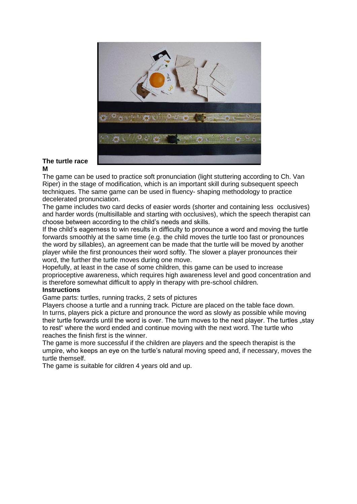

## **The turtle race M**

The game can be used to practice soft pronunciation (light stuttering according to Ch. Van Riper) in the stage of modification, which is an important skill during subsequent speech techniques. The same game can be used in fluency- shaping methodology to practice decelerated pronunciation.

The game includes two card decks of easier words (shorter and containing less occlusives) and harder words (multisillable and starting with occlusives), which the speech therapist can choose between according to the child's needs and skills.

If the child's eagerness to win results in difficulty to pronounce a word and moving the turtle forwards smoothly at the same time (e.g. the child moves the turtle too fast or pronounces the word by sillables), an agreement can be made that the turtle will be moved by another player while the first pronounces their word softly. The slower a player pronounces their word, the further the turtle moves during one move.

Hopefully, at least in the case of some children, this game can be used to increase proprioceptive awareness, which requires high awareness level and good concentration and is therefore somewhat difficult to apply in therapy with pre-school children.

## **Instructions**

Game parts: turtles, running tracks, 2 sets of pictures

Players choose a turtle and a running track. Picture are placed on the table face down. In turns, players pick a picture and pronounce the word as slowly as possible while moving their turtle forwards until the word is over. The turn moves to the next player. The turtles "stay to rest" where the word ended and continue moving with the next word. The turtle who reaches the finish first is the winner.

The game is more successful if the children are players and the speech therapist is the umpire, who keeps an eye on the turtle's natural moving speed and, if necessary, moves the turtle themself.

The game is suitable for cildren 4 years old and up.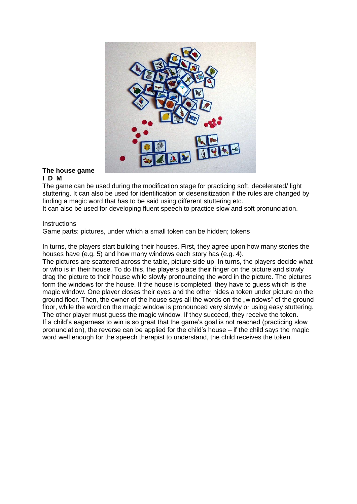

#### **The house game I D M**

The game can be used during the modification stage for practicing soft, decelerated/ light stuttering. It can also be used for identification or desensitization if the rules are changed by finding a magic word that has to be said using different stuttering etc.

It can also be used for developing fluent speech to practice slow and soft pronunciation.

#### **Instructions**

Game parts: pictures, under which a small token can be hidden; tokens

In turns, the players start building their houses. First, they agree upon how many stories the houses have (e.g. 5) and how many windows each story has (e.g. 4).

The pictures are scattered across the table, picture side up. In turns, the players decide what or who is in their house. To do this, the players place their finger on the picture and slowly drag the picture to their house while slowly pronouncing the word in the picture. The pictures form the windows for the house. If the house is completed, they have to guess which is the magic window. One player closes their eyes and the other hides a token under picture on the ground floor. Then, the owner of the house says all the words on the "windows" of the ground floor, while the word on the magic window is pronounced very slowly or using easy stuttering. The other player must guess the magic window. If they succeed, they receive the token. If a child's eagerness to win is so great that the game's goal is not reached (practicing slow pronunciation), the reverse can be applied for the child's house – if the child says the magic word well enough for the speech therapist to understand, the child receives the token.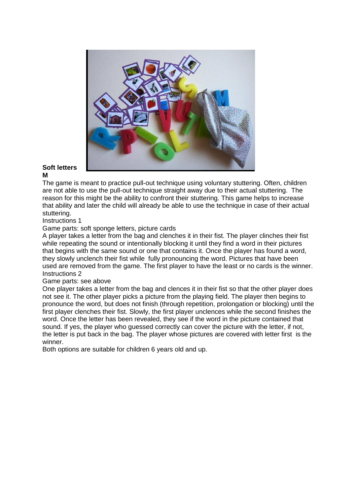

#### **Soft letters M**

The game is meant to practice pull-out technique using voluntary stuttering. Often, children are not able to use the pull-out technique straight away due to their actual stuttering. The reason for this might be the ability to confront their stuttering. This game helps to increase that ability and later the child will already be able to use the technique in case of their actual stuttering.

## Instructions 1

Game parts: soft sponge letters, picture cards

A player takes a letter from the bag and clenches it in their fist. The player clinches their fist while repeating the sound or intentionally blocking it until they find a word in their pictures that begins with the same sound or one that contains it. Once the player has found a word, they slowly unclench their fist while fully pronouncing the word. Pictures that have been used are removed from the game. The first player to have the least or no cards is the winner. Instructions 2

## Game parts: see above

One player takes a letter from the bag and clences it in their fist so that the other player does not see it. The other player picks a picture from the playing field. The player then begins to pronounce the word, but does not finish (through repetition, prolongation or blocking) until the first player clenches their fist. Slowly, the first player unclences while the second finishes the word. Once the letter has been revealed, they see if the word in the picture contained that sound. If yes, the player who guessed correctly can cover the picture with the letter, if not, the letter is put back in the bag. The player whose pictures are covered with letter first is the winner.

Both options are suitable for children 6 years old and up.